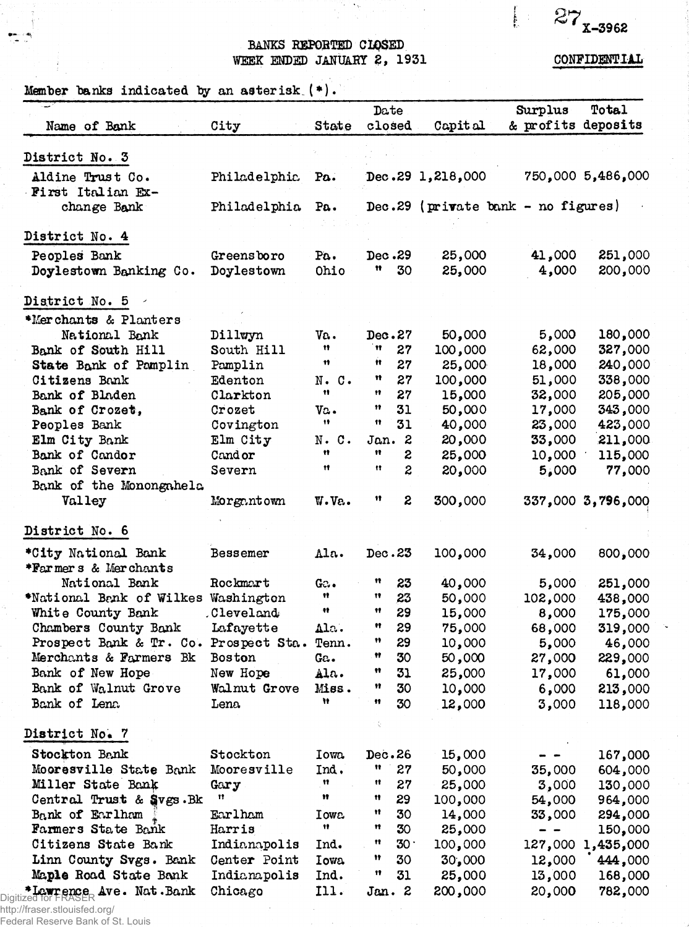$27_{x-3962}$ 

 $\int_{\Sigma} \varphi(x) dx$ 

## BANKS REPORTED CLOSED WEEK ENDED JANUARY 2, 1931

CONFIDENTIAL

Member banks indicated by an asterisk  $(*)$ .

| Name of Bank                                           | City          | State          | Date<br>closed      |                  | Capital          | Surplus<br>& profits deposits      | Total             |
|--------------------------------------------------------|---------------|----------------|---------------------|------------------|------------------|------------------------------------|-------------------|
| District No. 3                                         |               |                |                     |                  |                  |                                    |                   |
| Aldine Trust Co.<br>First Italian Ex-                  | Philadelphia  | Pa.            |                     |                  | Dec.29 1,218,000 |                                    | 750,000 5,486,000 |
| change Bank                                            | Philadelphia  | Pa.            |                     |                  |                  | Dec.29 (private bank - no figures) |                   |
|                                                        |               |                |                     |                  |                  |                                    |                   |
| District No. 4                                         |               |                |                     |                  |                  |                                    |                   |
| Peoples Bank                                           | Greensboro    | Pa.            | Dec.29              |                  | 25,000           | 41,000                             | 251,000           |
| Doylestown Banking Co.                                 | Doylestown    | Ohio           | Ħ                   | 30               | 25,000           | 4,000                              | 200,000           |
| District No. 5                                         |               |                |                     |                  |                  |                                    |                   |
| *Merchants & Planters                                  |               |                |                     |                  |                  |                                    |                   |
| National Bank                                          | Dillwyn       | Va.            | Dec.27              |                  | 50,000           | 5,000                              | 180,000           |
| Bank of South Hill                                     | South Hill    | Ħ.             | Ħ                   | 27               | 100,000          | 62,000                             | 327,000           |
| State Bank of Pamplin                                  | Pamplin       | Ħ              | n                   | 27               | 25,000           | 18,000                             | 240,000           |
| Citizens Bank                                          | Edenton       | $N \cdot C$ .  | n                   | 27               | 100,000          | 51,000                             | 338,000           |
| Bank of Bladen                                         | Clarkton      | 11             | Ħ                   | 27               | 15,000           | 32,000                             | 205,000           |
| Bank of Crozet,                                        | Crozet        | $\mathbf{v}$ . | 11                  | 31               | 50,000           | 17,000                             | 343,000           |
| Peoples Bank                                           | Covington     | 19             | 11                  | 31               | 40,000           | 23,000                             | 423,000           |
| Elm City Bank                                          | Elm City      | $N$ . $C$ .    | Jan. 2              |                  | 20,000           | 33,000                             | 211,000           |
| Bank of Candor                                         | Cand or       | Ħ              | Ħ                   |                  |                  |                                    |                   |
|                                                        |               | Ħ              | Ħ                   | 2                | 25,000           | 10,000                             | 115,000           |
| Bank of Severn                                         | Severn        |                |                     | $\boldsymbol{z}$ | 20,000           | 5,000                              | 77,000            |
| Bank of the Monongahela                                |               |                |                     |                  |                  |                                    |                   |
| Valley                                                 | Morgantown    | W.Ve.          | Ħ                   | 2                | 300,000          |                                    | 337,000 3,796,000 |
| District No. 6                                         |               |                |                     |                  |                  |                                    |                   |
| *City National Bank                                    | Bessemer      | Ala.           | Dec.23              |                  | 100,000          | 34,000                             | 800,000           |
| *Farmers & Merchants                                   |               |                |                     |                  |                  |                                    |                   |
| National Bank                                          | Rockmart      | G:             | Ħ                   | 23               | 40,000           | 5,000                              | 251,000           |
| *National Benk of Wilkes Washington                    |               | Ħ              | w                   | 23               | 50,000           | 102,000                            | 438,000           |
| White County Bank                                      | .Cleveland    | ÷ŧ             | 11                  | 29               | 15,000           | 8,000                              | 175,000           |
| Chambers County Bank                                   | Lafayette     | Ala.           | $^{\bullet\bullet}$ | 29               | 75,000           | 68,000                             | 319,000           |
| Prospect Bank & Tr. Co. Prospect Sta. Tenn.            |               |                | Ħ                   | 29               | 10,000           | 5,000                              | 46,000            |
| Merchants & Farmers Bk                                 | <b>Boston</b> | Ga.            | Ħ                   | 30               | 50,000           | 27,000                             | 229,000           |
| Bank of New Hope                                       | New Hope      | Ala.           | w                   | 31               | 25,000           | 17,000                             | 61,000            |
| Bank of Walnut Grove                                   | Walnut Grove  | Miss.          | 11                  | 30               | 10,000           | 6,000                              | 213,000           |
| Bank of Lena                                           |               | Ħ              | 11                  | 30               |                  |                                    |                   |
|                                                        | Lena.         |                | ÷                   |                  | 12,000           | 3,000                              | 118,000           |
| District No. 7                                         |               |                |                     |                  |                  |                                    |                   |
| Stockton Bank                                          | Stockton      | Iowa.          | Dec.26              |                  | 15,000           |                                    | 167,000           |
| Mooresville State Bank                                 | Mooresville   | Ind.           | 11                  | 27               | 50,000           | 35,000                             | 604,000           |
| Miller State Bank                                      | Gary          | Ħ              | Ħ                   | 27               | 25,000           | 3,000                              | 130,000           |
| Central Trust & Svgs.Bk                                | 11            | Ħ              | n                   | 29               | 100,000          | 54,000                             | 964,000           |
| Bank of Earlham                                        | Earlham       | Iowa           | Ħ                   | 30               | 14,000           | 33,000                             | 294,000           |
| Farmers State Bank                                     | Harris        | Ħ              | n                   | 30               | 25,000           |                                    | 150,000           |
| Citizens State Bank                                    | Indianapolis  | Ind.           | Ħ                   | 30 <sup>1</sup>  | 100,000          | 127,000                            | 1,435,000         |
| Linn County Svgs. Bank                                 | Center Point  | <b>Iowa</b>    | Ħ                   | 30               | 30,000           | 12,000                             | 444,000           |
| Maple Road State Bank                                  | Indianapolis  | Ind.           | 11                  | 31               | 25,000           | 13,000                             | 168,000           |
|                                                        |               |                |                     |                  |                  |                                    |                   |
| <b>FLowrence Ave. Nat.Bank</b><br>Digitized for FRASER | Chicago       | 111.           | Jan. 2              |                  | 200,000          | 20,000                             | 782,000           |

http://fraser.stlouisfed.org/

Federal Reserve Bank of St. Louis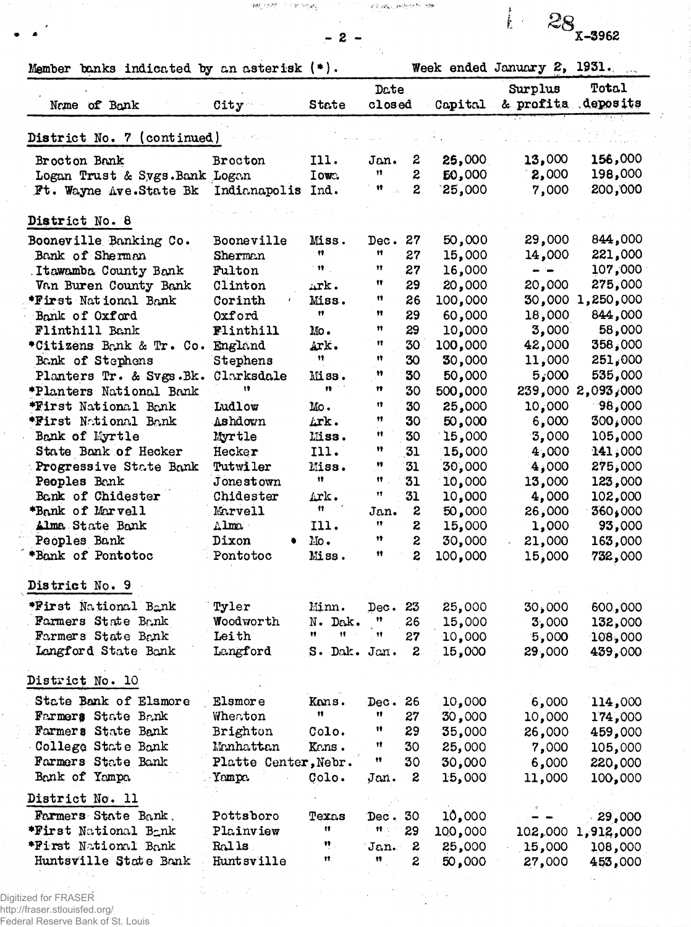| Member banks indicated by an asterisk $(*)$ . |                      |                  |               |                  |         | Week ended January 2, 1931.           |                   |
|-----------------------------------------------|----------------------|------------------|---------------|------------------|---------|---------------------------------------|-------------------|
| Name of Bank                                  | City                 | <b>State</b>     | Date<br>close |                  |         | Surplus<br>Capital & profits deposits | Total             |
| District No. 7 (continued)                    |                      |                  |               |                  |         |                                       |                   |
| Brocton Bank                                  | Brocton              | 111.             | Jan.          | 2                | 25,000  | 13,000                                | 156,000           |
| Logan Trust & Sygs. Bank Logan                |                      | Iowa.            | 11            | 2                | 50,000  | 2,000                                 | 198,000           |
| Ft. Wayne Ave. State Bk Indianapolis Ind.     |                      |                  | Ħ             | $\overline{z}$   | 25,000  | 7,000                                 | 200,000           |
| District No. 8                                |                      |                  |               |                  |         |                                       |                   |
|                                               |                      |                  |               |                  |         |                                       |                   |
| Booneville Banking Co.                        | Booneville           | Miss.<br>Ħ       | Dec.<br>Ħ     | 27               | 50,000  | 29,000                                | 844,000           |
| Bank of Sherman                               | Sherman              | $-11$            | 11            | 27               | 15,000  | 14,000                                | 221,000           |
| Itawamba County Bank                          | Fulton               |                  | Ħ             | 27               | 16,000  | $ -$                                  | 107,000           |
| Van Buren County Bank                         | Clinton              | Ark.             | 11            | 29               | 20,000  | 20,000                                | 275,000           |
| *First National Bank                          | Corinth              | Miss.<br>Ħ       | 11            | 26               | 100,000 | 30,000                                | 1,250,000         |
| Bank of Oxford                                | Oxford               |                  |               | 29               | 60,000  | 18,000                                | 844,000           |
| Flinthill Bank                                | Flinthill            | $_{\text{Mo}}$ . | Ħ             | 29               | 10,000  | 3,000                                 | 58,000            |
| *Citizens Bank & Tr. Co.                      | England              | Ark.             | Ħ             | 30               | 100,000 | 42,000                                | 358,000           |
| Bank of Stephens                              | Stephens             | Ħ                | 11            | 30               | 30,000  | 11,000                                | 251,000           |
| Planters Tr. & Svgs.Bk.                       | Clarksdale           | Miss.            | Ħ             | 30               | 50,000  | 5,000                                 | 535,000           |
| *Planters National Bank                       | n                    | 11 <sup>1</sup>  | Ħ             | 30               | 500,000 |                                       | 239,000 2,093,000 |
| *First National Bank                          | Ludlow               | Mo.              | 13            | 30               | 25,000  | 10,000                                | 98,000            |
| *First National Bank                          | Ashdown              | Lrk.             | 11            | 30               | 50,000  | 6,000                                 | 300,000           |
| Bank of Myrtle                                | Myrtle               | Miss.            | 11            | 30               | 15,000  | 3,000                                 | 105,000           |
| State Bank of Hecker                          | Hecker               | I11.             | 11            | 31               | 15,000  | 4,000                                 | 141,000           |
| Progressive State Bank                        | Tutwiler             | Miss.            | 11            | 31               | 30,000  | 4,000                                 | 275,000           |
| Peoples Bank                                  | Jonestown            | n                | Ħ             | 31               | 10,000  | 13,000                                | 123,000           |
| Bank of Chidester                             | Chidester            | $\mathbf{L}$ rk. | 11            | 31               | 10,000  | 4,000                                 | 102,000           |
| *Bank of Marvell                              | Marvell              | 有一个              | Jan.          | 2                | 50,000  | 26,000                                | 360,000           |
| Alma State Bank                               | $\texttt{nlm}$       | I11.             | 17            | 2                | 15,000  | 1,000                                 | 93,000            |
| Peoples Bank                                  | Dixon                | 10.              | Ħ             | $\boldsymbol{z}$ | 30,000  | 21,000                                | 163,000           |
| *Bank of Pontotoc                             | Pontotoc             | Miss.            | 11            | $\boldsymbol{z}$ | 100,000 | 15,000                                | 732,000           |
| District No. 9                                |                      |                  |               |                  |         |                                       |                   |
| *First National Bank                          | Tyler                | Minn.            | Dec.          | 23               | 25,000  | 30,000                                | 600,000           |
| Farmers State Bank                            | Woodworth            | N. Dak.          | Ħ             | 26               | 15,000  | 3,000                                 | 132,000           |
| Farmers State Bank                            | Leith                | Ħ<br>Ħ           | 11            | 27               | 10,000  | 5,000                                 | 108,000           |
| Langford State Bank                           | Langford             | S. Dak. Jan.     |               | 2                | 15,000  | 29,000                                | 439,000           |
| District No. 10                               |                      |                  |               |                  |         |                                       |                   |
|                                               |                      |                  |               |                  |         |                                       |                   |
| State Bank of Elsmore                         | Elsmore              | Kans.<br>11      | Dec.<br>11    | 26               | 10,000  | 6,000                                 | 114,000           |
| Farmers State Bank                            | Wheaton              |                  |               | 27               | 30,000  | 10,000                                | 174,000           |
| Farmers State Bank                            | Brighton             | Colo.            | n             | 29               | 35,000  | 26,000                                | 459,000           |
| College State Bank                            | Manhattan            | Kans.            | Ħ             | 30               | 25,000  | 7,000                                 | 105,000           |
| Farmers State Bank                            | Platte Center, Nebr. |                  | Ħ             | 30               | 30,000  | 6,000                                 | 220,000           |
| Bank of Yampa                                 | Yampa.               | Colo.            | Jan.          | 2                | 15,000  | 11,000                                | 100,000           |
| District No. 11                               |                      |                  |               |                  |         |                                       |                   |
| Farmers State Bank.                           | Pottsboro            | Texas            | Dec.          | 30               | 10,000  |                                       | 29,000            |
| *First National Bank                          | Plainview            | 11               | 11            | 29               | 100,000 | 102,000                               | 1,912,000         |
| *First National Bank                          | Ralls                | ņ                | Jan.          | 2                | 25,000  | 15,000                                | 108,000           |
| Huntsville State Bank                         | Huntsville           | n                | Ħ             | 2                | 50,000  | 27,000                                | 453,000           |

 $\mathcal{D}^{\mathcal{M}}_{\mathcal{P}_{\mathcal{P}_{\mathcal{P}}}}(\mathcal{F}_{\mathcal{P}_{\mathcal{P}_{\mathcal{P}}}}^{\mathcal{M}}) \leq \mathcal{F}_{\mathcal{P}_{\mathcal{P}}^{\mathcal{M}}}^{\mathcal{M}}(\mathcal{P}_{\mathcal{P}_{\mathcal{P}_{\mathcal{P}}}}^{\mathcal{M}})$ 

 $-2 -$ 

 $\mathcal{L}(\lambda,\eta)\mathcal{G}_{\mathbf{t}}(\cdot),\ \mathbf{y}\in\mathbb{R}^{n\times \left(n+\frac{1}{2}\right)}\quad\text{where}\quad$ 

 $k = 28$ <sub>x-3962</sub>

Digitized for FRASER http://fraser.stlouisfed.org/ Federal Reserve Bank of St. Louis  $\frac{\partial}{\partial \varphi^{\mu}}$